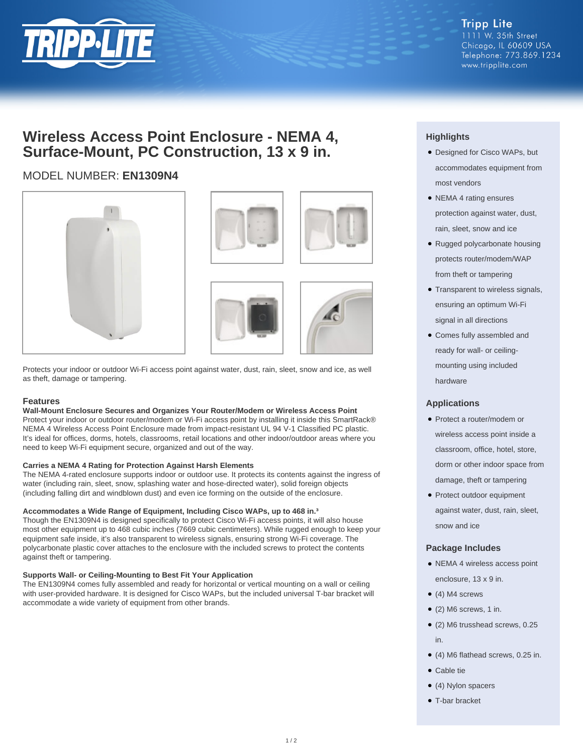

**Tripp Lite** 1111 W. 35th Street Chicago, IL 60609 USA Telephone: 773.869.1234 www.tripplite.com

# **Wireless Access Point Enclosure - NEMA 4, Surface-Mount, PC Construction, 13 x 9 in.**

## MODEL NUMBER: **EN1309N4**







Protects your indoor or outdoor Wi-Fi access point against water, dust, rain, sleet, snow and ice, as well as theft, damage or tampering.

#### **Features**

#### **Wall-Mount Enclosure Secures and Organizes Your Router/Modem or Wireless Access Point**

Protect your indoor or outdoor router/modem or Wi-Fi access point by installing it inside this SmartRack® NEMA 4 Wireless Access Point Enclosure made from impact-resistant UL 94 V-1 Classified PC plastic. It's ideal for offices, dorms, hotels, classrooms, retail locations and other indoor/outdoor areas where you need to keep Wi-Fi equipment secure, organized and out of the way.

#### **Carries a NEMA 4 Rating for Protection Against Harsh Elements**

The NEMA 4-rated enclosure supports indoor or outdoor use. It protects its contents against the ingress of water (including rain, sleet, snow, splashing water and hose-directed water), solid foreign objects (including falling dirt and windblown dust) and even ice forming on the outside of the enclosure.

#### **Accommodates a Wide Range of Equipment, Including Cisco WAPs, up to 468 in.³**

Though the EN1309N4 is designed specifically to protect Cisco Wi-Fi access points, it will also house most other equipment up to 468 cubic inches (7669 cubic centimeters). While rugged enough to keep your equipment safe inside, it's also transparent to wireless signals, ensuring strong Wi-Fi coverage. The polycarbonate plastic cover attaches to the enclosure with the included screws to protect the contents against theft or tampering.

#### **Supports Wall- or Ceiling-Mounting to Best Fit Your Application**

The EN1309N4 comes fully assembled and ready for horizontal or vertical mounting on a wall or ceiling with user-provided hardware. It is designed for Cisco WAPs, but the included universal T-bar bracket will accommodate a wide variety of equipment from other brands.

### **Highlights**

- Designed for Cisco WAPs, but accommodates equipment from most vendors
- NEMA 4 rating ensures protection against water, dust, rain, sleet, snow and ice
- Rugged polycarbonate housing protects router/modem/WAP from theft or tampering
- Transparent to wireless signals, ensuring an optimum Wi-Fi signal in all directions
- Comes fully assembled and ready for wall- or ceilingmounting using included hardware

#### **Applications**

- Protect a router/modem or wireless access point inside a classroom, office, hotel, store, dorm or other indoor space from damage, theft or tampering
- Protect outdoor equipment against water, dust, rain, sleet, snow and ice

#### **Package Includes**

- NEMA 4 wireless access point enclosure, 13 x 9 in.
- $\bullet$  (4) M4 screws
- $\bullet$  (2) M6 screws, 1 in.
- (2) M6 trusshead screws, 0.25 in.
- (4) M6 flathead screws, 0.25 in.
- Cable tie
- (4) Nylon spacers
- T-bar bracket